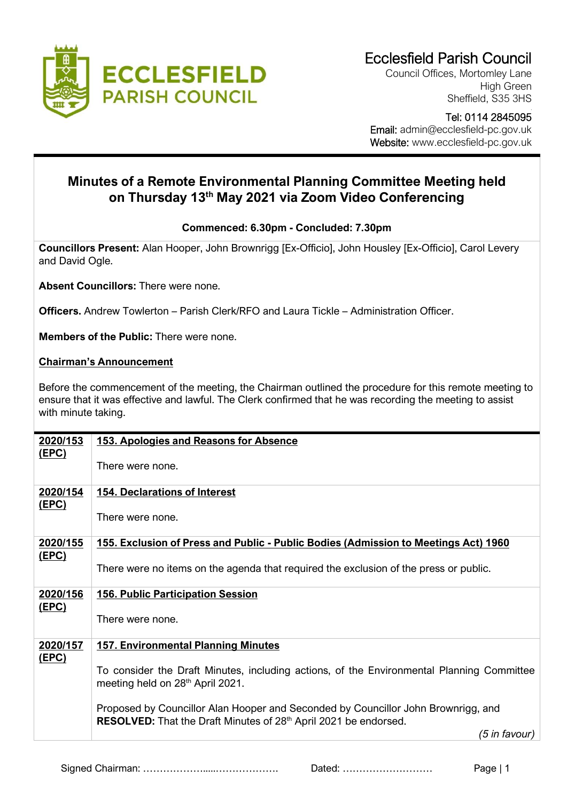

Council Offices, Mortomley Lane High Green Sheffield, S35 3HS

## Tel: 0114 2845095 Email: admin@ecclesfield-pc.gov.uk Website: www.ecclesfield-pc.gov.uk

## **Minutes of a Remote Environmental Planning Committee Meeting held on Thursday 13th May 2021 via Zoom Video Conferencing**

## **Commenced: 6.30pm - Concluded: 7.30pm**

**Councillors Present:** Alan Hooper, John Brownrigg [Ex-Officio], John Housley [Ex-Officio], Carol Levery and David Ogle.

**Absent Councillors:** There were none.

**Officers.** Andrew Towlerton – Parish Clerk/RFO and Laura Tickle – Administration Officer.

**Members of the Public:** There were none.

## **Chairman's Announcement**

Before the commencement of the meeting, the Chairman outlined the procedure for this remote meeting to ensure that it was effective and lawful. The Clerk confirmed that he was recording the meeting to assist with minute taking.

| 2020/153     | 153. Apologies and Reasons for Absence                                                                                                                |
|--------------|-------------------------------------------------------------------------------------------------------------------------------------------------------|
| <u>(EPC)</u> | There were none.                                                                                                                                      |
| 2020/154     | <b>154. Declarations of Interest</b>                                                                                                                  |
| <u>(EPC)</u> | There were none.                                                                                                                                      |
| 2020/155     | <u> 155. Exclusion of Press and Public - Public Bodies (Admission to Meetings Act) 1960</u>                                                           |
| <u>(EPC)</u> | There were no items on the agenda that required the exclusion of the press or public.                                                                 |
| 2020/156     | <b>156. Public Participation Session</b>                                                                                                              |
| <u>(EPC)</u> | There were none.                                                                                                                                      |
| 2020/157     | <b>157. Environmental Planning Minutes</b>                                                                                                            |
| <u>(EPC)</u> | To consider the Draft Minutes, including actions, of the Environmental Planning Committee<br>meeting held on 28 <sup>th</sup> April 2021.             |
|              | Proposed by Councillor Alan Hooper and Seconded by Councillor John Brownrigg, and<br>RESOLVED: That the Draft Minutes of 28th April 2021 be endorsed. |
|              | (5 in favour)                                                                                                                                         |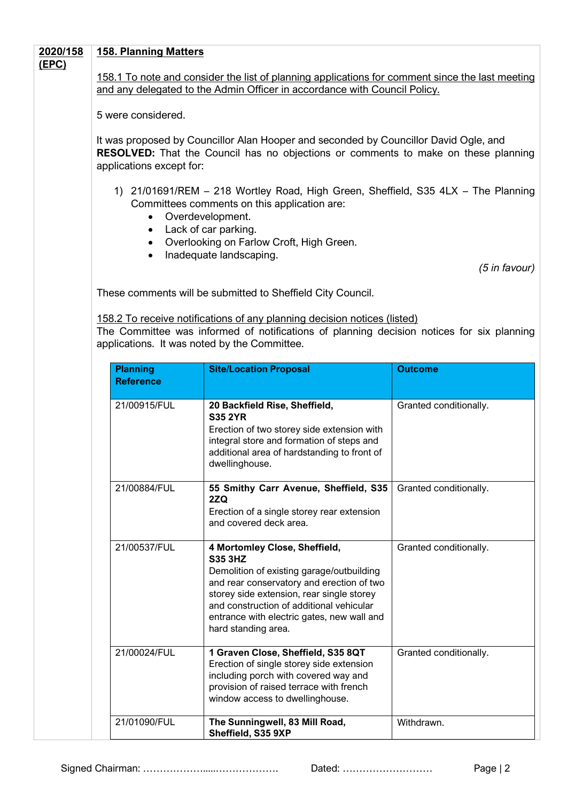| 2020/158<br>(EPC) | <b>158. Planning Matters</b>                                                                                                                                                                                                                                                                     |                                                                                                                                                                                                                                                                                                         |                        |  |  |  |
|-------------------|--------------------------------------------------------------------------------------------------------------------------------------------------------------------------------------------------------------------------------------------------------------------------------------------------|---------------------------------------------------------------------------------------------------------------------------------------------------------------------------------------------------------------------------------------------------------------------------------------------------------|------------------------|--|--|--|
|                   | 158.1 To note and consider the list of planning applications for comment since the last meeting<br>and any delegated to the Admin Officer in accordance with Council Policy.                                                                                                                     |                                                                                                                                                                                                                                                                                                         |                        |  |  |  |
|                   | 5 were considered.                                                                                                                                                                                                                                                                               |                                                                                                                                                                                                                                                                                                         |                        |  |  |  |
|                   | It was proposed by Councillor Alan Hooper and seconded by Councillor David Ogle, and<br><b>RESOLVED:</b> That the Council has no objections or comments to make on these planning<br>applications except for:                                                                                    |                                                                                                                                                                                                                                                                                                         |                        |  |  |  |
|                   | 1) 21/01691/REM - 218 Wortley Road, High Green, Sheffield, S35 4LX - The Planning<br>Committees comments on this application are:<br>Overdevelopment.<br>$\bullet$<br>Lack of car parking.<br>$\bullet$<br>Overlooking on Farlow Croft, High Green.<br>٠<br>Inadequate landscaping.<br>$\bullet$ |                                                                                                                                                                                                                                                                                                         |                        |  |  |  |
|                   |                                                                                                                                                                                                                                                                                                  |                                                                                                                                                                                                                                                                                                         | $(5$ in favour)        |  |  |  |
|                   | These comments will be submitted to Sheffield City Council.                                                                                                                                                                                                                                      |                                                                                                                                                                                                                                                                                                         |                        |  |  |  |
|                   | 158.2 To receive notifications of any planning decision notices (listed)<br>The Committee was informed of notifications of planning decision notices for six planning<br>applications. It was noted by the Committee.                                                                            |                                                                                                                                                                                                                                                                                                         |                        |  |  |  |
|                   | <b>Planning</b><br><b>Reference</b>                                                                                                                                                                                                                                                              | <b>Site/Location Proposal</b>                                                                                                                                                                                                                                                                           | <b>Outcome</b>         |  |  |  |
|                   | 21/00915/FUL                                                                                                                                                                                                                                                                                     | 20 Backfield Rise, Sheffield,<br><b>S35 2YR</b><br>Erection of two storey side extension with<br>integral store and formation of steps and<br>additional area of hardstanding to front of<br>dwellinghouse.                                                                                             | Granted conditionally. |  |  |  |
|                   | 21/00884/FUL                                                                                                                                                                                                                                                                                     | 55 Smithy Carr Avenue, Sheffield, S35<br>2ZQ<br>Erection of a single storey rear extension<br>and covered deck area.                                                                                                                                                                                    | Granted conditionally. |  |  |  |
|                   | 21/00537/FUL                                                                                                                                                                                                                                                                                     | 4 Mortomley Close, Sheffield,<br><b>S35 3HZ</b><br>Demolition of existing garage/outbuilding<br>and rear conservatory and erection of two<br>storey side extension, rear single storey<br>and construction of additional vehicular<br>entrance with electric gates, new wall and<br>hard standing area. | Granted conditionally. |  |  |  |
|                   | 21/00024/FUL                                                                                                                                                                                                                                                                                     | 1 Graven Close, Sheffield, S35 8QT<br>Erection of single storey side extension<br>including porch with covered way and<br>provision of raised terrace with french<br>window access to dwellinghouse.                                                                                                    | Granted conditionally. |  |  |  |
|                   | 21/01090/FUL                                                                                                                                                                                                                                                                                     | The Sunningwell, 83 Mill Road,<br>Sheffield, S35 9XP                                                                                                                                                                                                                                                    | Withdrawn.             |  |  |  |

Signed Chairman: ……………….....………………. Dated: ……………………… Page | 2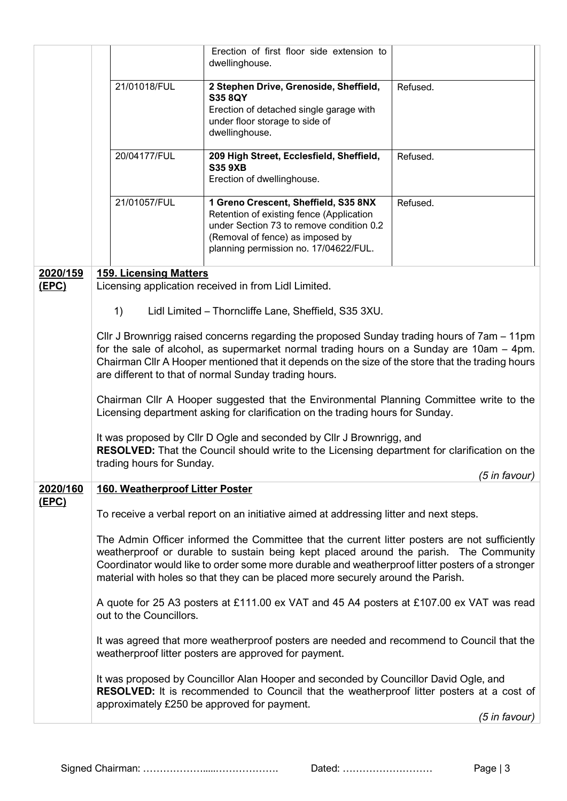|          |                                                                                                                                                                                                                                                                                                                                                                                                        | Erection of first floor side extension to<br>dwellinghouse.                                                                                                                                               |               |  |  |
|----------|--------------------------------------------------------------------------------------------------------------------------------------------------------------------------------------------------------------------------------------------------------------------------------------------------------------------------------------------------------------------------------------------------------|-----------------------------------------------------------------------------------------------------------------------------------------------------------------------------------------------------------|---------------|--|--|
|          | 21/01018/FUL                                                                                                                                                                                                                                                                                                                                                                                           | 2 Stephen Drive, Grenoside, Sheffield,<br><b>S35 8QY</b><br>Erection of detached single garage with<br>under floor storage to side of<br>dwellinghouse.                                                   | Refused.      |  |  |
|          | 20/04177/FUL                                                                                                                                                                                                                                                                                                                                                                                           | 209 High Street, Ecclesfield, Sheffield,<br><b>S35 9XB</b><br>Erection of dwellinghouse.                                                                                                                  | Refused.      |  |  |
|          | 21/01057/FUL                                                                                                                                                                                                                                                                                                                                                                                           | 1 Greno Crescent, Sheffield, S35 8NX<br>Retention of existing fence (Application<br>under Section 73 to remove condition 0.2<br>(Removal of fence) as imposed by<br>planning permission no. 17/04622/FUL. | Refused.      |  |  |
| 2020/159 | <b>159. Licensing Matters</b>                                                                                                                                                                                                                                                                                                                                                                          |                                                                                                                                                                                                           |               |  |  |
| (EPC)    |                                                                                                                                                                                                                                                                                                                                                                                                        | Licensing application received in from Lidl Limited.                                                                                                                                                      |               |  |  |
|          | 1)                                                                                                                                                                                                                                                                                                                                                                                                     | Lidl Limited - Thorncliffe Lane, Sheffield, S35 3XU.                                                                                                                                                      |               |  |  |
|          | CIIr J Brownrigg raised concerns regarding the proposed Sunday trading hours of 7am - 11pm<br>for the sale of alcohol, as supermarket normal trading hours on a Sunday are 10am - 4pm.<br>Chairman Cllr A Hooper mentioned that it depends on the size of the store that the trading hours<br>are different to that of normal Sunday trading hours.                                                    |                                                                                                                                                                                                           |               |  |  |
|          | Chairman Cllr A Hooper suggested that the Environmental Planning Committee write to the<br>Licensing department asking for clarification on the trading hours for Sunday.<br>It was proposed by Cllr D Ogle and seconded by Cllr J Brownrigg, and<br><b>RESOLVED:</b> That the Council should write to the Licensing department for clarification on the<br>trading hours for Sunday.<br>(5 in favour) |                                                                                                                                                                                                           |               |  |  |
|          |                                                                                                                                                                                                                                                                                                                                                                                                        |                                                                                                                                                                                                           |               |  |  |
| 2020/160 | <b>160. Weatherproof Litter Poster</b>                                                                                                                                                                                                                                                                                                                                                                 |                                                                                                                                                                                                           |               |  |  |
| (EPC)    | To receive a verbal report on an initiative aimed at addressing litter and next steps.                                                                                                                                                                                                                                                                                                                 |                                                                                                                                                                                                           |               |  |  |
|          | The Admin Officer informed the Committee that the current litter posters are not sufficiently<br>weatherproof or durable to sustain being kept placed around the parish. The Community<br>Coordinator would like to order some more durable and weatherproof litter posters of a stronger<br>material with holes so that they can be placed more securely around the Parish.                           |                                                                                                                                                                                                           |               |  |  |
|          | A quote for 25 A3 posters at £111.00 ex VAT and 45 A4 posters at £107.00 ex VAT was read<br>out to the Councillors.                                                                                                                                                                                                                                                                                    |                                                                                                                                                                                                           |               |  |  |
|          |                                                                                                                                                                                                                                                                                                                                                                                                        | It was agreed that more weatherproof posters are needed and recommend to Council that the<br>weatherproof litter posters are approved for payment.                                                        |               |  |  |
|          | approximately £250 be approved for payment.                                                                                                                                                                                                                                                                                                                                                            | It was proposed by Councillor Alan Hooper and seconded by Councillor David Ogle, and<br><b>RESOLVED:</b> It is recommended to Council that the weatherproof litter posters at a cost of                   | (5 in favour) |  |  |